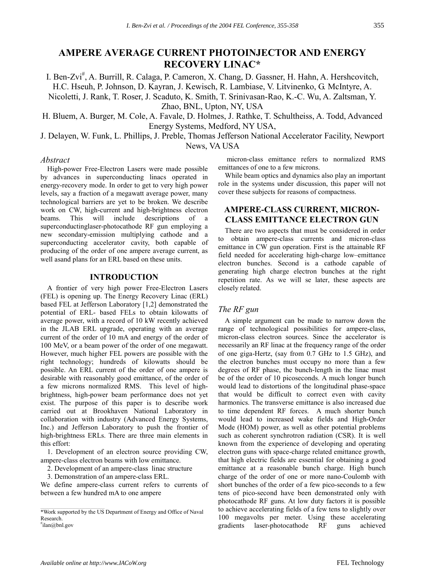# **AMPERE AVERAGE CURRENT PHOTOINJECTOR AND ENERGY RECOVERY LINAC\***

I. Ben-Zvi<sup>#</sup>, A. Burrill, R. Calaga, P. Cameron, X. Chang, D. Gassner, H. Hahn, A. Hershcovitch, H.C. Hseuh, P. Johnson, D. Kayran, J. Kewisch, R. Lambiase, V. Litvinenko, G. McIntyre, A. Nicoletti, J. Rank, T. Roser, J. Scaduto, K. Smith, T. Srinivasan-Rao, K.-C. Wu, A. Zaltsman, Y. Zhao, BNL, Upton, NY, USA

H. Bluem, A. Burger, M. Cole, A. Favale, D. Holmes, J. Rathke, T. Schultheiss, A. Todd, Advanced Energy Systems, Medford, NY USA,

J. Delayen, W. Funk, L. Phillips, J. Preble, Thomas Jefferson National Accelerator Facility, Newport News, VA USA

## *Abstract*

High-power Free-Electron Lasers were made possible by advances in superconducting linacs operated in energy-recovery mode. In order to get to very high power levels, say a fraction of a megawatt average power, many technological barriers are yet to be broken. We describe work on CW, high-current and high-brightness electron beams. This will include descriptions of a superconductinglaser-photocathode RF gun employing a new secondary-emission multiplying cathode and a superconducting accelerator cavity, both capable of producing of the order of one ampere average current, as well asand plans for an ERL based on these units.

## **INTRODUCTION**

A frontier of very high power Free-Electron Lasers (FEL) is opening up. The Energy Recovery Linac (ERL) based FEL at Jefferson Laboratory [1,2] demonstrated the potential of ERL- based FELs to obtain kilowatts of average power, with a record of 10 kW recently achieved in the JLAB ERL upgrade, operating with an average current of the order of 10 mA and energy of the order of 100 MeV, or a beam power of the order of one megawatt. However, much higher FEL powers are possible with the right technology; hundreds of kilowatts should be possible. An ERL current of the order of one ampere is desirable with reasonably good emittance, of the order of a few microns normalized RMS. This level of highbrightness, high-power beam performance does not yet exist. The purpose of this paper is to describe work carried out at Brookhaven National Laboratory in collaboration with industry (Advanced Energy Systems, Inc.) and Jefferson Laboratory to push the frontier of high-brightness ERLs. There are three main elements in this effort:

1. Development of an electron source providing CW, ampere-class electron beams with low emittance.

2. Development of an ampere-class linac structure

3. Demonstration of an ampere-class ERL.

We define ampere-class current refers to currents of between a few hundred mA to one ampere

 micron-class emittance refers to normalized RMS emittances of one to a few microns.

While beam optics and dynamics also play an important role in the systems under discussion, this paper will not cover these subjects for reasons of compactness.

## **AMPERE-CLASS CURRENT, MICRON-CLASS EMITTANCE ELECTRON GUN**

There are two aspects that must be considered in order to obtain ampere-class currents and micron-class emittance in CW gun operation. First is the attainable RF field needed for accelerating high-charge low-emittance electron bunches. Second is a cathode capable of generating high charge electron bunches at the right repetition rate. As we will se later, these aspects are closely related.

## *The RF gun*

A simple argument can be made to narrow down the range of technological possibilities for ampere-class, micron-class electron sources. Since the accelerator is necessarily an RF linac at the frequency range of the order of one giga-Hertz, (say from 0.7 GHz to 1.5 GHz), and the electron bunches must occupy no more than a few degrees of RF phase, the bunch-length in the linac must be of the order of 10 picoseconds. A much longer bunch would lead to distortions of the longitudinal phase-space that would be difficult to correct even with cavity harmonics. The transverse emittance is also increased due to time dependent RF forces. A much shorter bunch would lead to increased wake fields and High-Order Mode (HOM) power, as well as other potential problems such as coherent synchrotron radiation (CSR). It is well known from the experience of developing and operating electron guns with space-charge related emittance growth, that high electric fields are essential for obtaining a good emittance at a reasonable bunch charge. High bunch charge of the order of one or more nano-Coulomb with short bunches of the order of a few pico-seconds to a few tens of pico-second have been demonstrated only with photocathode RF guns. At low duty factors it is possible to achieve accelerating fields of a few tens to slightly over 100 megavolts per meter. Using these accelerating gradients laser-photocathode RF guns achieved

<sup>\*</sup>Work supported by the US Department of Energy and Office of Naval Research.

<sup>#</sup> ilan@bnl.gov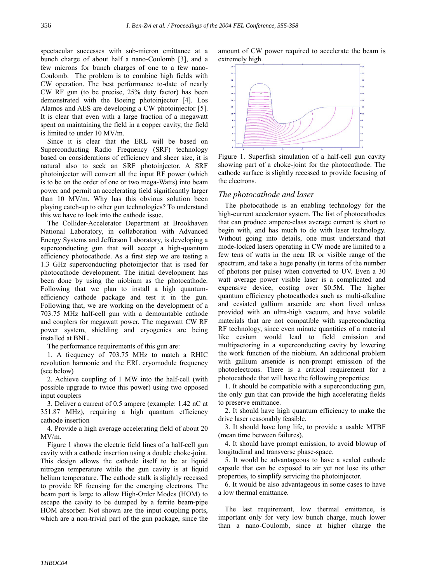spectacular successes with sub-micron emittance at a bunch charge of about half a nano-Coulomb [3], and a few microns for bunch charges of one to a few nano-Coulomb. The problem is to combine high fields with CW operation. The best performance to-date of nearly CW RF gun (to be precise, 25% duty factor) has been demonstrated with the Boeing photoinjector [4]. Los Alamos and AES are developing a CW photoinjector [5]. It is clear that even with a large fraction of a megawatt spent on maintaining the field in a copper cavity, the field is limited to under 10 MV/m.

Since it is clear that the ERL will be based on Superconducting Radio Frequency (SRF) technology based on considerations of efficiency and sheer size, it is natural also to seek an SRF photoinjector. A SRF photoinjector will convert all the input RF power (which is to be on the order of one or two mega-Watts) into beam power and permit an accelerating field significantly larger than 10 MV/m. Why has this obvious solution been playing catch-up to other gun technologies? To understand this we have to look into the cathode issue.

The Collider-Accelerator Department at Brookhaven National Laboratory, in collaboration with Advanced Energy Systems and Jefferson Laboratory, is developing a superconducting gun that will accept a high-quantum efficiency photocathode. As a first step we are testing a 1.3 GHz superconducting photoinjector that is used for photocathode development. The initial development has been done by using the niobium as the photocathode. Following that we plan to install a high quantumefficiency cathode package and test it in the gun. Following that, we are working on the development of a 703.75 MHz half-cell gun with a demountable cathode and couplers for megawatt power. The megawatt CW RF power system, shielding and cryogenics are being installed at BNL.

The performance requirements of this gun are:

1. A frequency of 703.75 MHz to match a RHIC revolution harmonic and the ERL cryomodule frequency (see below)

2. Achieve coupling of 1 MW into the half-cell (with possible upgrade to twice this power) using two opposed input couplers

3. Deliver a current of 0.5 ampere (example: 1.42 nC at 351.87 MHz), requiring a high quantum efficiency cathode insertion

4. Provide a high average accelerating field of about 20 MV/m.

Figure 1 shows the electric field lines of a half-cell gun cavity with a cathode insertion using a double choke-joint. This design allows the cathode itself to be at liquid nitrogen temperature while the gun cavity is at liquid helium temperature. The cathode stalk is slightly recessed to provide RF focusing for the emerging electrons. The beam port is large to allow High-Order Modes (HOM) to escape the cavity to be dumped by a ferrite beam-pipe HOM absorber. Not shown are the input coupling ports, which are a non-trivial part of the gun package, since the

amount of CW power required to accelerate the beam is extremely high.



Figure 1. Superfish simulation of a half-cell gun cavity showing part of a choke-joint for the photocathode. The cathode surface is slightly recessed to provide focusing of the electrons.

#### *The photocathode and laser*

The photocathode is an enabling technology for the high-current accelerator system. The list of photocathodes that can produce ampere-class average current is short to begin with, and has much to do with laser technology. Without going into details, one must understand that mode-locked lasers operating in CW mode are limited to a few tens of watts in the near IR or visible range of the spectrum, and take a huge penalty (in terms of the number of photons per pulse) when converted to UV. Even a 30 watt average power visible laser is a complicated and expensive device, costing over \$0.5M. The higher quantum efficiency photocathodes such as multi-alkaline and cesiated gallium arsenide are short lived unless provided with an ultra-high vacuum, and have volatile materials that are not compatible with superconducting RF technology, since even minute quantities of a material like cesium would lead to field emission and multipactoring in a superconducting cavity by lowering the work function of the niobium. An additional problem with gallium arsenide is non-prompt emission of the photoelectrons. There is a critical requirement for a photocathode that will have the following properties:

1. It should be compatible with a superconducting gun, the only gun that can provide the high accelerating fields to preserve emittance.

2. It should have high quantum efficiency to make the drive laser reasonably feasible.

3. It should have long life, to provide a usable MTBF (mean time between failures).

4. It should have prompt emission, to avoid blowup of longitudinal and transverse phase-space.

5. It would be advantageous to have a sealed cathode capsule that can be exposed to air yet not lose its other properties, to simplify servicing the photoinjector.

6. It would be also advantageous in some cases to have a low thermal emittance.

The last requirement, low thermal emittance, is important only for very low bunch charge, much lower than a nano-Coulomb, since at higher charge the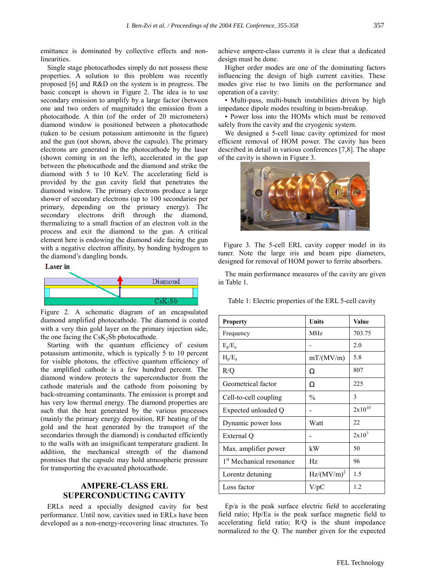emittance is dominated by collective effects and nonlinearities.

Single stage photocathodes simply do not possess these properties. A solution to this problem was recently proposed [6] and R&D on the system is in progress. The basic concept is shown in Figure 2. The idea is to use secondary emission to amplify by a large factor (between one and two orders of magnitude) the emission from a photocathode. A thin (of the order of 20 micrometers) diamond window is positioned between a photocathode (taken to be cesium potassium antimonite in the figure) and the gun (not shown, above the capsule). The primary electrons are generated in the photocathode by the laser (shown coming in on the left), accelerated in the gap between the photocathode and the diamond and strike the diamond with 5 to 10 KeV. The accelerating field is provided by the gun cavity field that penetrates the diamond window. The primary electrons produce a large shower of secondary electrons (up to 100 secondaries per primary, depending on the primary energy). The secondary electrons drift through the diamond, thermalizing to a small fraction of an electron volt in the process and exit the diamond to the gun. A critical element here is endowing the diamond side facing the gun with a negative electron affinity, by bonding hydrogen to the diamond's dangling bonds.

#### **Laser** in



Figure 2. A schematic diagram of an encapsulated diamond amplified photocathode. The diamond is coated with a very thin gold layer on the primary injection side, the one facing the  $CsK<sub>2</sub>Sb$  photocathode.

Starting with the quantum efficiency of cesium potassium antimonite, which is typically 5 to 10 percent for visible photons, the effective quantum efficiency of the amplified cathode is a few hundred percent. The diamond window protects the superconductor from the cathode materials and the cathode from poisoning by back-streaming contaminants. The emission is prompt and has very low thermal energy. The diamond properties are such that the heat generated by the various processes (mainly the primary energy deposition, RF heating of the gold and the heat generated by the transport of the secondaries through the diamond) is conducted efficiently to the walls with an insignificant temperature gradient. In addition, the mechanical strength of the diamond promises that the capsule may hold atmospheric pressure for transporting the evacuated photocathode.

## **AMPERE-CLASS ERL SUPERCONDUCTING CAVITY**

ERLs need a specially designed cavity for best performance. Until now, cavities used in ERLs have been developed as a non-energy-recovering linac structures. To achieve ampere-class currents it is clear that a dedicated design must be done.

Higher order modes are one of the dominating factors influencing the design of high current cavities. These modes give rise to two limits on the performance and operation of a cavity:

• Multi-pass, multi-bunch instabilities driven by high impedance dipole modes resulting in beam-breakup.

ï Power loss into the HOMs which must be removed safely from the cavity and the cryogenic system.

We designed a 5-cell linac cavity optimized for most efficient removal of HOM power. The cavity has been described in detail in various conferences [7,8]. The shape of the cavity is shown in Figure 3.



 Figure 3. The 5-cell ERL cavity copper model in its tuner. Note the large iris and beam pipe diameters, designed for removal of HOM power to ferrite absorbers.

The main performance measures of the cavity are given in Table 1.

Table 1: Electric properties of the ERL 5-cell cavity

| <b>Property</b>                      | Units           | Value       |
|--------------------------------------|-----------------|-------------|
| Frequency                            | MH <sub>z</sub> | 703.75      |
| $E_p/E_a$                            |                 | 2.0         |
| $H_p/E_a$                            | mT/(MV/m)       | 5.8         |
| R/Q                                  | Ω               | 807         |
| Geometrical factor                   | Ω               | 225         |
| Cell-to-cell coupling                | $\frac{0}{0}$   | 3           |
| Expected unloaded Q                  |                 | $2x10^{10}$ |
| Dynamic power loss                   | Watt            | 22          |
| External Q                           |                 | $2x10^7$    |
| Max. amplifier power                 | kW              | 50          |
| 1 <sup>st</sup> Mechanical resonance | Hz              | 96          |
| Lorentz detuning                     | $Hz/(MV/m)^2$   | 1.5         |
| Loss factor                          | $V$ /p $C$      | 1.2         |

Ep/a is the peak surface electric field to accelerating field ratio; Hp/Ea is the peak surface magnetic field to accelerating field ratio; R/Q is the shunt impedance normalized to the Q. The number given for the expected